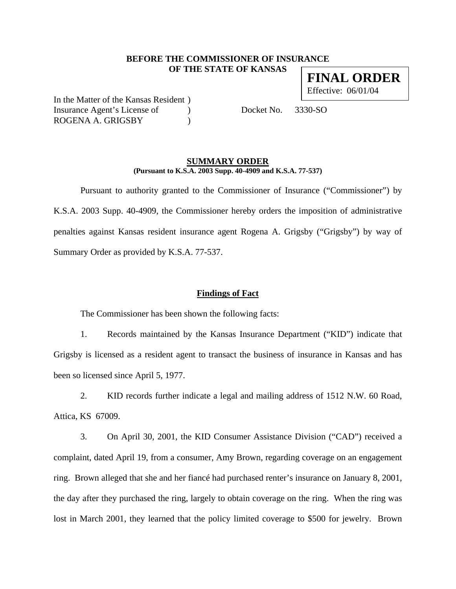## **BEFORE THE COMMISSIONER OF INSURANCE OF THE STATE OF KANSAS**

**FINAL ORDER** Effective: 06/01/04

In the Matter of the Kansas Resident ) Insurance Agent's License of (a) Docket No. 3330-SO ROGENA A. GRIGSBY )

## **SUMMARY ORDER (Pursuant to K.S.A. 2003 Supp. 40-4909 and K.S.A. 77-537)**

 Pursuant to authority granted to the Commissioner of Insurance ("Commissioner") by K.S.A. 2003 Supp. 40-4909, the Commissioner hereby orders the imposition of administrative penalties against Kansas resident insurance agent Rogena A. Grigsby ("Grigsby") by way of Summary Order as provided by K.S.A. 77-537.

# **Findings of Fact**

The Commissioner has been shown the following facts:

1. Records maintained by the Kansas Insurance Department ("KID") indicate that Grigsby is licensed as a resident agent to transact the business of insurance in Kansas and has been so licensed since April 5, 1977.

2. KID records further indicate a legal and mailing address of 1512 N.W. 60 Road, Attica, KS 67009.

3. On April 30, 2001, the KID Consumer Assistance Division ("CAD") received a complaint, dated April 19, from a consumer, Amy Brown, regarding coverage on an engagement ring. Brown alleged that she and her fiancé had purchased renter's insurance on January 8, 2001, the day after they purchased the ring, largely to obtain coverage on the ring. When the ring was lost in March 2001, they learned that the policy limited coverage to \$500 for jewelry. Brown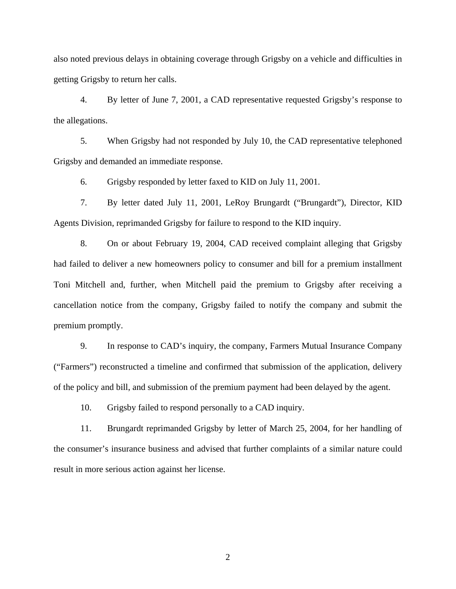also noted previous delays in obtaining coverage through Grigsby on a vehicle and difficulties in getting Grigsby to return her calls.

4. By letter of June 7, 2001, a CAD representative requested Grigsby's response to the allegations.

5. When Grigsby had not responded by July 10, the CAD representative telephoned Grigsby and demanded an immediate response.

6. Grigsby responded by letter faxed to KID on July 11, 2001.

7. By letter dated July 11, 2001, LeRoy Brungardt ("Brungardt"), Director, KID Agents Division, reprimanded Grigsby for failure to respond to the KID inquiry.

8. On or about February 19, 2004, CAD received complaint alleging that Grigsby had failed to deliver a new homeowners policy to consumer and bill for a premium installment Toni Mitchell and, further, when Mitchell paid the premium to Grigsby after receiving a cancellation notice from the company, Grigsby failed to notify the company and submit the premium promptly.

9. In response to CAD's inquiry, the company, Farmers Mutual Insurance Company ("Farmers") reconstructed a timeline and confirmed that submission of the application, delivery of the policy and bill, and submission of the premium payment had been delayed by the agent.

10. Grigsby failed to respond personally to a CAD inquiry.

11. Brungardt reprimanded Grigsby by letter of March 25, 2004, for her handling of the consumer's insurance business and advised that further complaints of a similar nature could result in more serious action against her license.

2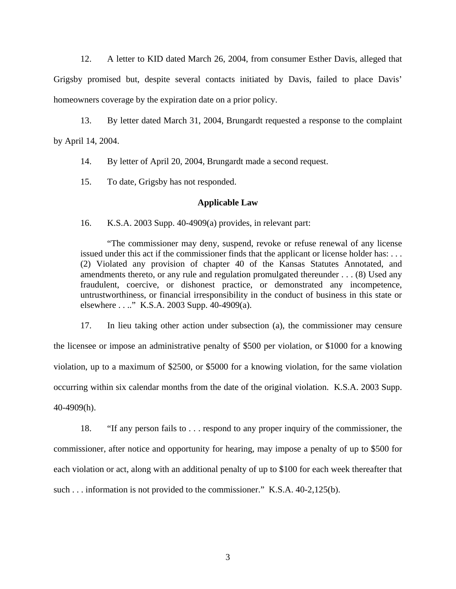12. A letter to KID dated March 26, 2004, from consumer Esther Davis, alleged that Grigsby promised but, despite several contacts initiated by Davis, failed to place Davis' homeowners coverage by the expiration date on a prior policy.

13. By letter dated March 31, 2004, Brungardt requested a response to the complaint by April 14, 2004.

14. By letter of April 20, 2004, Brungardt made a second request.

15. To date, Grigsby has not responded.

#### **Applicable Law**

16. K.S.A. 2003 Supp. 40-4909(a) provides, in relevant part:

"The commissioner may deny, suspend, revoke or refuse renewal of any license issued under this act if the commissioner finds that the applicant or license holder has: . . . (2) Violated any provision of chapter 40 of the Kansas Statutes Annotated, and amendments thereto, or any rule and regulation promulgated thereunder . . . (8) Used any fraudulent, coercive, or dishonest practice, or demonstrated any incompetence, untrustworthiness, or financial irresponsibility in the conduct of business in this state or elsewhere . . .." K.S.A. 2003 Supp. 40-4909(a).

17. In lieu taking other action under subsection (a), the commissioner may censure the licensee or impose an administrative penalty of \$500 per violation, or \$1000 for a knowing violation, up to a maximum of \$2500, or \$5000 for a knowing violation, for the same violation occurring within six calendar months from the date of the original violation. K.S.A. 2003 Supp. 40-4909(h).

18. "If any person fails to . . . respond to any proper inquiry of the commissioner, the commissioner, after notice and opportunity for hearing, may impose a penalty of up to \$500 for each violation or act, along with an additional penalty of up to \$100 for each week thereafter that such . . . information is not provided to the commissioner." K.S.A. 40-2,125(b).

3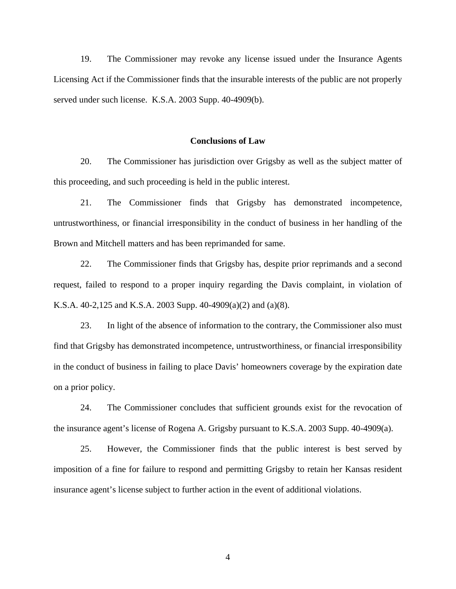19. The Commissioner may revoke any license issued under the Insurance Agents Licensing Act if the Commissioner finds that the insurable interests of the public are not properly served under such license. K.S.A. 2003 Supp. 40-4909(b).

#### **Conclusions of Law**

20. The Commissioner has jurisdiction over Grigsby as well as the subject matter of this proceeding, and such proceeding is held in the public interest.

21. The Commissioner finds that Grigsby has demonstrated incompetence, untrustworthiness, or financial irresponsibility in the conduct of business in her handling of the Brown and Mitchell matters and has been reprimanded for same.

22. The Commissioner finds that Grigsby has, despite prior reprimands and a second request, failed to respond to a proper inquiry regarding the Davis complaint, in violation of K.S.A. 40-2,125 and K.S.A. 2003 Supp. 40-4909(a)(2) and (a)(8).

23. In light of the absence of information to the contrary, the Commissioner also must find that Grigsby has demonstrated incompetence, untrustworthiness, or financial irresponsibility in the conduct of business in failing to place Davis' homeowners coverage by the expiration date on a prior policy.

24. The Commissioner concludes that sufficient grounds exist for the revocation of the insurance agent's license of Rogena A. Grigsby pursuant to K.S.A. 2003 Supp. 40-4909(a).

25. However, the Commissioner finds that the public interest is best served by imposition of a fine for failure to respond and permitting Grigsby to retain her Kansas resident insurance agent's license subject to further action in the event of additional violations.

4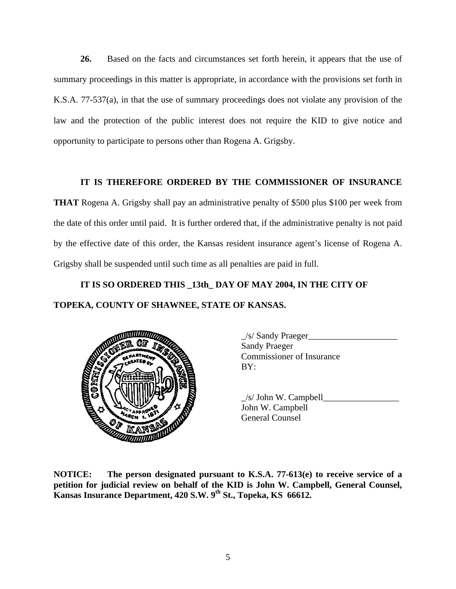**26.** Based on the facts and circumstances set forth herein, it appears that the use of summary proceedings in this matter is appropriate, in accordance with the provisions set forth in K.S.A. 77-537(a), in that the use of summary proceedings does not violate any provision of the law and the protection of the public interest does not require the KID to give notice and opportunity to participate to persons other than Rogena A. Grigsby.

# **IT IS THEREFORE ORDERED BY THE COMMISSIONER OF INSURANCE**

**THAT** Rogena A. Grigsby shall pay an administrative penalty of \$500 plus \$100 per week from the date of this order until paid. It is further ordered that, if the administrative penalty is not paid by the effective date of this order, the Kansas resident insurance agent's license of Rogena A. Grigsby shall be suspended until such time as all penalties are paid in full.

# **IT IS SO ORDERED THIS \_13th\_ DAY OF MAY 2004, IN THE CITY OF TOPEKA, COUNTY OF SHAWNEE, STATE OF KANSAS.**



 \_/s/ Sandy Praeger\_\_\_\_\_\_\_\_\_\_\_\_\_\_\_\_\_\_\_\_ Sandy Praeger Commissioner of Insurance

 $/s/$  John W. Campbell John W. Campbell General Counsel

**NOTICE: The person designated pursuant to K.S.A. 77-613(e) to receive service of a petition for judicial review on behalf of the KID is John W. Campbell, General Counsel,**  Kansas Insurance Department, 420 S.W. 9<sup>th</sup> St., Topeka, KS 66612.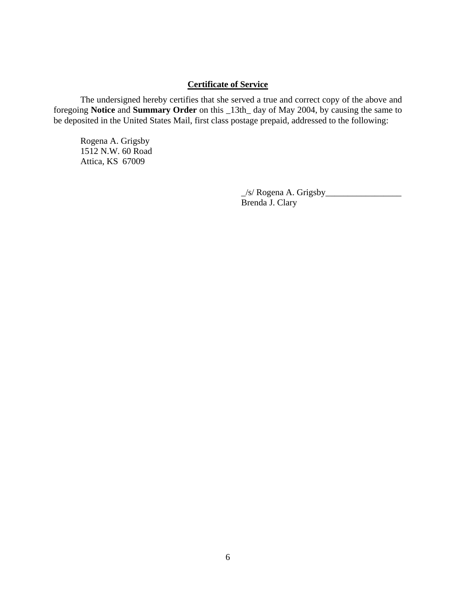# **Certificate of Service**

 The undersigned hereby certifies that she served a true and correct copy of the above and foregoing **Notice** and **Summary Order** on this \_13th\_ day of May 2004, by causing the same to be deposited in the United States Mail, first class postage prepaid, addressed to the following:

 Rogena A. Grigsby 1512 N.W. 60 Road Attica, KS 67009

> \_/s/ Rogena A. Grigsby\_\_\_\_\_\_\_\_\_\_\_\_\_\_\_\_\_ Brenda J. Clary